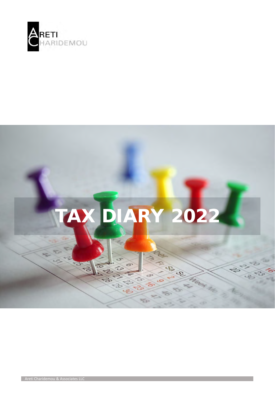



Areti Charidemou & Associates LLC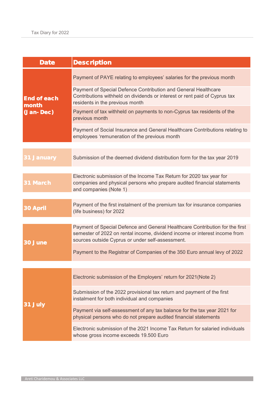| Description                                                                                                                                                                                                    |
|----------------------------------------------------------------------------------------------------------------------------------------------------------------------------------------------------------------|
| Payment of PAYE relating to employees' salaries for the previous month                                                                                                                                         |
| Payment of Special Defence Contribution and General Healthcare<br>Contributions withheld on dividends or interest or rent paid of Cyprus tax<br>residents in the previous month                                |
| Payment of tax withheld on payments to non-Cyprus tax residents of the<br>previous month                                                                                                                       |
| Payment of Social Insurance and General Healthcare Contributions relating to<br>employees 'remuneration of the previous month                                                                                  |
|                                                                                                                                                                                                                |
| Submission of the deemed dividend distribution form for the tax year 2019                                                                                                                                      |
|                                                                                                                                                                                                                |
| Electronic submission of the Income Tax Return for 2020 tax year for<br>companies and physical persons who prepare audited financial statements<br>and companies (Note 1)                                      |
|                                                                                                                                                                                                                |
| Payment of the first instalment of the premium tax for insurance companies<br>(life business) for 2022                                                                                                         |
|                                                                                                                                                                                                                |
| Payment of Special Defence and General Healthcare Contribution for the first<br>semester of 2022 on rental income, dividend income or interest income from<br>sources outside Cyprus or under self-assessment. |
| Payment to the Registrar of Companies of the 350 Euro annual levy of 2022                                                                                                                                      |
|                                                                                                                                                                                                                |
| Electronic submission of the Employers' return for 2021(Note 2)                                                                                                                                                |
| Submission of the 2022 provisional tax return and payment of the first<br>instalment for both individual and companies                                                                                         |
| Payment via self-assessment of any tax balance for the tax year 2021 for<br>physical persons who do not prepare audited financial statements                                                                   |
| Electronic submission of the 2021 Income Tax Return for salaried individuals<br>whose gross income exceeds 19.500 Euro                                                                                         |
|                                                                                                                                                                                                                |

and the control of the control of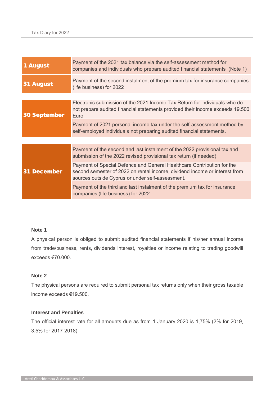| 1 August     | Payment of the 2021 tax balance via the self-assessment method for<br>companies and individuals who prepare audited financial statements (Note 1)                                                        |  |
|--------------|----------------------------------------------------------------------------------------------------------------------------------------------------------------------------------------------------------|--|
| August<br>31 | Payment of the second instalment of the premium tax for insurance companies<br>(life business) for 2022                                                                                                  |  |
|              |                                                                                                                                                                                                          |  |
| 30 September | Electronic submission of the 2021 Income Tax Return for individuals who do<br>not prepare audited financial statements provided their income exceeds 19.500<br>Euro                                      |  |
|              | Payment of 2021 personal income tax under the self-assessment method by<br>self-employed individuals not preparing audited financial statements.                                                         |  |
|              |                                                                                                                                                                                                          |  |
| 31 December  | Payment of the second and last instalment of the 2022 provisional tax and<br>submission of the 2022 revised provisional tax return (if needed)                                                           |  |
|              | Payment of Special Defence and General Healthcare Contribution for the<br>second semester of 2022 on rental income, dividend income or interest from<br>sources outside Cyprus or under self-assessment. |  |
|              | Payment of the third and last instalment of the premium tax for insurance<br>companies (life business) for 2022                                                                                          |  |

## **Note 1**

A physical person is obliged to submit audited financial statements if his/her annual income from trade/business, rents, dividends interest, royalties or income relating to trading goodwill exceeds €70.000.

## **Note 2**

The physical persons are required to submit personal tax returns only when their gross taxable income exceeds €19.500.

## **Interest and Penalties**

The official interest rate for all amounts due as from 1 January 2020 is 1,75% (2% for 2019, 3,5% for 2017-2018)